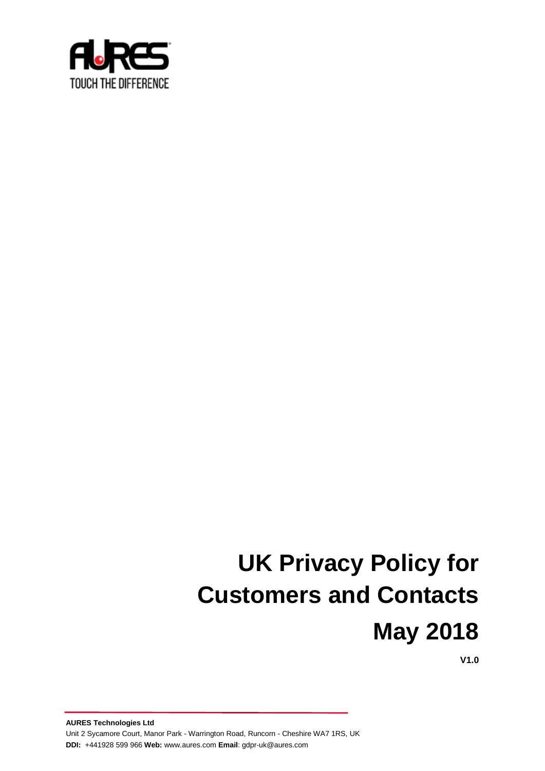

# **UK Privacy Policy for Customers and Contacts May 2018**

**V1.0**

**AURES Technologies Ltd** Unit 2 Sycamore Court, Manor Park - Warrington Road, Runcorn - Cheshire WA7 1RS, UK **DDI:** +441928 599 966 **Web:** www[.aures.com](http://www.aures.com/) **Email**[: gdpr-uk@aures.com](mailto:gdpr-uk@aures.com)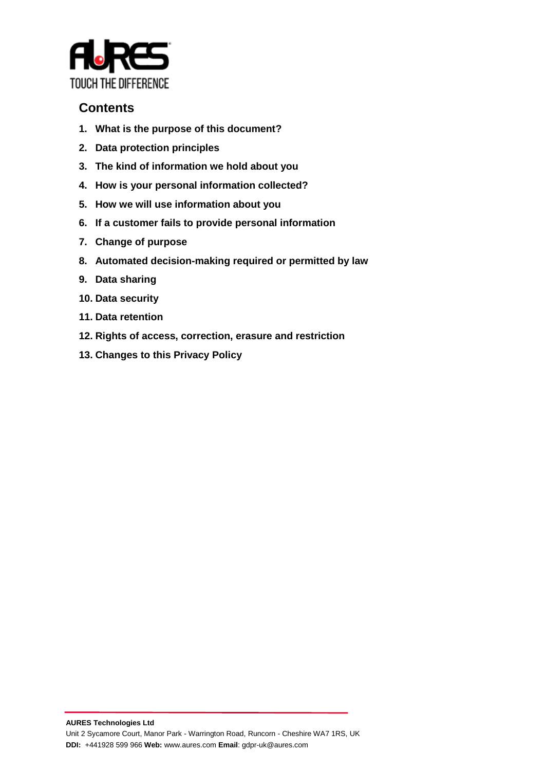

# **Contents**

- **1. What is the purpose of this document?**
- **2. Data protection principles**
- **3. The kind of information we hold about you**
- **4. How is your personal information collected?**
- **5. How we will use information about you**
- **6. If a customer fails to provide personal information**
- **7. Change of purpose**
- **8. Automated decision-making required or permitted by law**
- **9. Data sharing**
- **10. Data security**
- **11. Data retention**
- **12. Rights of access, correction, erasure and restriction**
- **13. Changes to this Privacy Policy**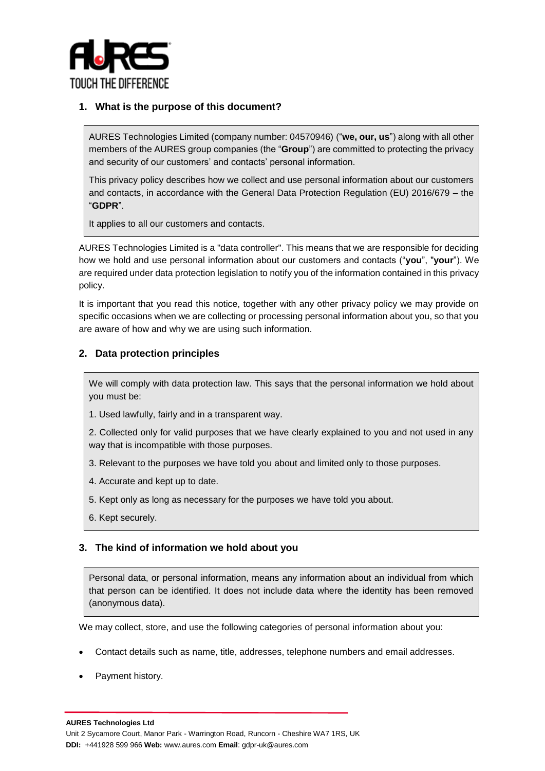

# **1. What is the purpose of this document?**

AURES Technologies Limited (company number: 04570946) ("**we, our, us**") along with all other members of the AURES group companies (the "**Group**") are committed to protecting the privacy and security of our customers' and contacts' personal information.

This privacy policy describes how we collect and use personal information about our customers and contacts, in accordance with the General Data Protection Regulation (EU) 2016/679 – the "**GDPR**".

It applies to all our customers and contacts.

AURES Technologies Limited is a "data controller". This means that we are responsible for deciding how we hold and use personal information about our customers and contacts ("**you**", "**your**"). We are required under data protection legislation to notify you of the information contained in this privacy policy.

It is important that you read this notice, together with any other privacy policy we may provide on specific occasions when we are collecting or processing personal information about you, so that you are aware of how and why we are using such information.

# **2. Data protection principles**

We will comply with data protection law. This says that the personal information we hold about you must be:

1. Used lawfully, fairly and in a transparent way.

2. Collected only for valid purposes that we have clearly explained to you and not used in any way that is incompatible with those purposes.

- 3. Relevant to the purposes we have told you about and limited only to those purposes.
- 4. Accurate and kept up to date.
- 5. Kept only as long as necessary for the purposes we have told you about.
- 6. Kept securely.

# **3. The kind of information we hold about you**

Personal data, or personal information, means any information about an individual from which that person can be identified. It does not include data where the identity has been removed (anonymous data).

We may collect, store, and use the following categories of personal information about you:

- Contact details such as name, title, addresses, telephone numbers and email addresses.
- Payment history.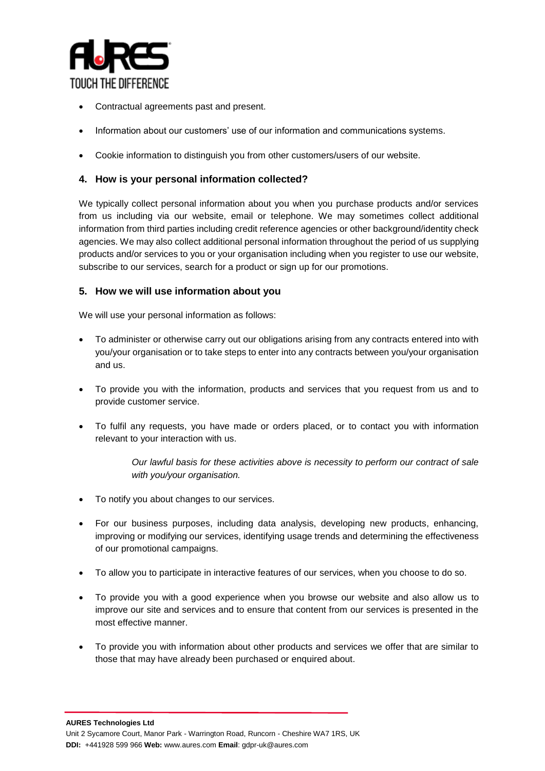

- Contractual agreements past and present.
- Information about our customers' use of our information and communications systems.
- Cookie information to distinguish you from other customers/users of our website.

# **4. How is your personal information collected?**

We typically collect personal information about you when you purchase products and/or services from us including via our website, email or telephone. We may sometimes collect additional information from third parties including credit reference agencies or other background/identity check agencies. We may also collect additional personal information throughout the period of us supplying products and/or services to you or your organisation including when you register to use our website, subscribe to our services, search for a product or sign up for our promotions.

# **5. How we will use information about you**

We will use your personal information as follows:

- To administer or otherwise carry out our obligations arising from any contracts entered into with you/your organisation or to take steps to enter into any contracts between you/your organisation and us.
- To provide you with the information, products and services that you request from us and to provide customer service.
- To fulfil any requests, you have made or orders placed, or to contact you with information relevant to your interaction with us.

*Our lawful basis for these activities above is necessity to perform our contract of sale with you/your organisation.*

- To notify you about changes to our services.
- For our business purposes, including data analysis, developing new products, enhancing, improving or modifying our services, identifying usage trends and determining the effectiveness of our promotional campaigns.
- To allow you to participate in interactive features of our services, when you choose to do so.
- To provide you with a good experience when you browse our website and also allow us to improve our site and services and to ensure that content from our services is presented in the most effective manner.
- To provide you with information about other products and services we offer that are similar to those that may have already been purchased or enquired about.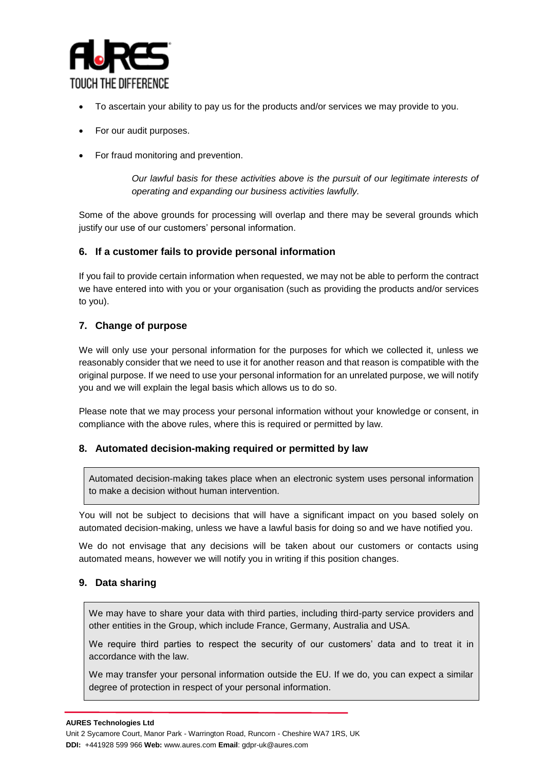

- To ascertain your ability to pay us for the products and/or services we may provide to you.
- For our audit purposes.
- For fraud monitoring and prevention.

*Our lawful basis for these activities above is the pursuit of our legitimate interests of operating and expanding our business activities lawfully.* 

Some of the above grounds for processing will overlap and there may be several grounds which justify our use of our customers' personal information.

## **6. If a customer fails to provide personal information**

If you fail to provide certain information when requested, we may not be able to perform the contract we have entered into with you or your organisation (such as providing the products and/or services to you).

# **7. Change of purpose**

We will only use your personal information for the purposes for which we collected it, unless we reasonably consider that we need to use it for another reason and that reason is compatible with the original purpose. If we need to use your personal information for an unrelated purpose, we will notify you and we will explain the legal basis which allows us to do so.

Please note that we may process your personal information without your knowledge or consent, in compliance with the above rules, where this is required or permitted by law.

#### **8. Automated decision-making required or permitted by law**

Automated decision-making takes place when an electronic system uses personal information to make a decision without human intervention.

You will not be subject to decisions that will have a significant impact on you based solely on automated decision-making, unless we have a lawful basis for doing so and we have notified you.

We do not envisage that any decisions will be taken about our customers or contacts using automated means, however we will notify you in writing if this position changes.

#### **9. Data sharing**

We may have to share your data with third parties, including third-party service providers and other entities in the Group, which include France, Germany, Australia and USA.

We require third parties to respect the security of our customers' data and to treat it in accordance with the law.

We may transfer your personal information outside the EU. If we do, you can expect a similar degree of protection in respect of your personal information.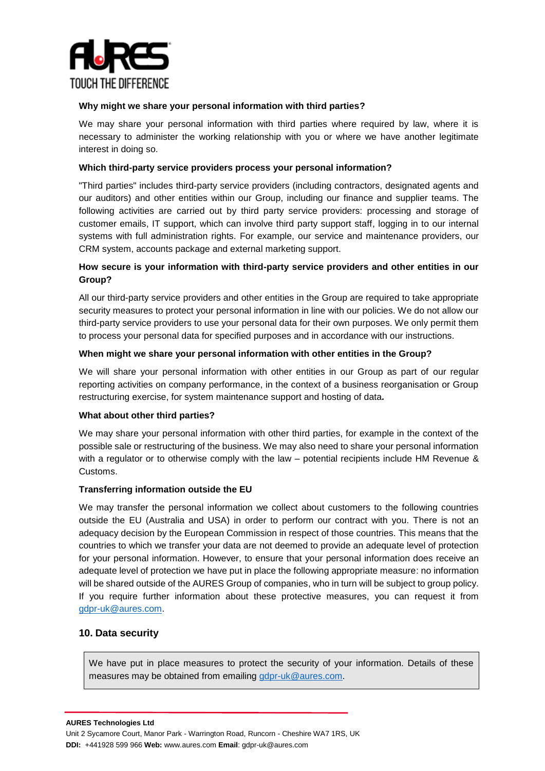

#### **Why might we share your personal information with third parties?**

We may share your personal information with third parties where required by law, where it is necessary to administer the working relationship with you or where we have another legitimate interest in doing so.

## **Which third-party service providers process your personal information?**

"Third parties" includes third-party service providers (including contractors, designated agents and our auditors) and other entities within our Group, including our finance and supplier teams. The following activities are carried out by third party service providers: processing and storage of customer emails, IT support, which can involve third party support staff, logging in to our internal systems with full administration rights. For example, our service and maintenance providers, our CRM system, accounts package and external marketing support.

# **How secure is your information with third-party service providers and other entities in our Group?**

All our third-party service providers and other entities in the Group are required to take appropriate security measures to protect your personal information in line with our policies. We do not allow our third-party service providers to use your personal data for their own purposes. We only permit them to process your personal data for specified purposes and in accordance with our instructions.

## **When might we share your personal information with other entities in the Group?**

We will share your personal information with other entities in our Group as part of our regular reporting activities on company performance, in the context of a business reorganisation or Group restructuring exercise, for system maintenance support and hosting of data*.*

#### **What about other third parties?**

We may share your personal information with other third parties, for example in the context of the possible sale or restructuring of the business. We may also need to share your personal information with a regulator or to otherwise comply with the law – potential recipients include HM Revenue & Customs.

#### **Transferring information outside the EU**

We may transfer the personal information we collect about customers to the following countries outside the EU (Australia and USA) in order to perform our contract with you. There is not an adequacy decision by the European Commission in respect of those countries. This means that the countries to which we transfer your data are not deemed to provide an adequate level of protection for your personal information. However, to ensure that your personal information does receive an adequate level of protection we have put in place the following appropriate measure: no information will be shared outside of the AURES Group of companies, who in turn will be subject to group policy. If you require further information about these protective measures, you can request it from [gdpr-uk@aures.com.](mailto:gdpr-uk@aures.com)

# **10. Data security**

We have put in place measures to protect the security of your information. Details of these measures may be obtained from emailing [gdpr-uk@aures.com.](mailto:GDPR@aures.com)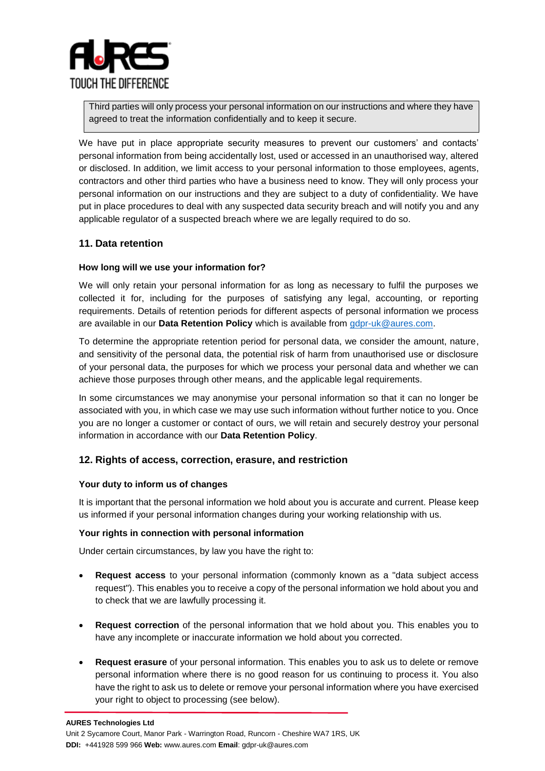

Third parties will only process your personal information on our instructions and where they have agreed to treat the information confidentially and to keep it secure.

We have put in place appropriate security measures to prevent our customers' and contacts' personal information from being accidentally lost, used or accessed in an unauthorised way, altered or disclosed. In addition, we limit access to your personal information to those employees, agents, contractors and other third parties who have a business need to know. They will only process your personal information on our instructions and they are subject to a duty of confidentiality. We have put in place procedures to deal with any suspected data security breach and will notify you and any applicable regulator of a suspected breach where we are legally required to do so.

# **11. Data retention**

#### **How long will we use your information for?**

We will only retain your personal information for as long as necessary to fulfil the purposes we collected it for, including for the purposes of satisfying any legal, accounting, or reporting requirements. Details of retention periods for different aspects of personal information we process are available in our **Data Retention Policy** which is available from [gdpr-uk@aures.com.](mailto:GDPR@aures.com)

To determine the appropriate retention period for personal data, we consider the amount, nature, and sensitivity of the personal data, the potential risk of harm from unauthorised use or disclosure of your personal data, the purposes for which we process your personal data and whether we can achieve those purposes through other means, and the applicable legal requirements.

In some circumstances we may anonymise your personal information so that it can no longer be associated with you, in which case we may use such information without further notice to you. Once you are no longer a customer or contact of ours, we will retain and securely destroy your personal information in accordance with our **Data Retention Policy**.

#### **12. Rights of access, correction, erasure, and restriction**

#### **Your duty to inform us of changes**

It is important that the personal information we hold about you is accurate and current. Please keep us informed if your personal information changes during your working relationship with us.

#### **Your rights in connection with personal information**

Under certain circumstances, by law you have the right to:

- **Request access** to your personal information (commonly known as a "data subject access request"). This enables you to receive a copy of the personal information we hold about you and to check that we are lawfully processing it.
- **Request correction** of the personal information that we hold about you. This enables you to have any incomplete or inaccurate information we hold about you corrected.
- **Request erasure** of your personal information. This enables you to ask us to delete or remove personal information where there is no good reason for us continuing to process it. You also have the right to ask us to delete or remove your personal information where you have exercised your right to object to processing (see below).

**DDI:** +441928 599 966 **Web:** www[.aures.com](http://www.aures.com/) **Email**[: gdpr-uk@aures.com](mailto:gdpr-uk@aures.com)